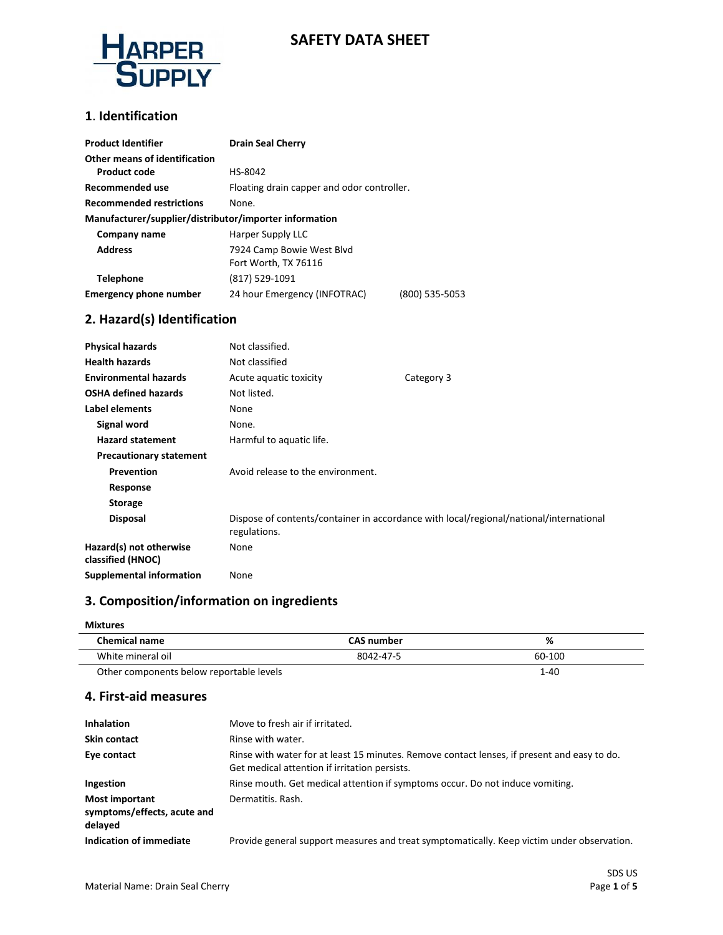

# **SAFETY DATA SHEET**

#### **1**. **Identification**

| <b>Product Identifier</b>                              | <b>Drain Seal Cherry</b>                   |                |
|--------------------------------------------------------|--------------------------------------------|----------------|
| Other means of identification                          |                                            |                |
| <b>Product code</b>                                    | HS-8042                                    |                |
| Recommended use                                        | Floating drain capper and odor controller. |                |
| <b>Recommended restrictions</b>                        | None.                                      |                |
| Manufacturer/supplier/distributor/importer information |                                            |                |
| Company name                                           | Harper Supply LLC                          |                |
| <b>Address</b>                                         | 7924 Camp Bowie West Blvd                  |                |
|                                                        | Fort Worth, TX 76116                       |                |
| <b>Telephone</b>                                       | (817) 529-1091                             |                |
| <b>Emergency phone number</b>                          | 24 hour Emergency (INFOTRAC)               | (800) 535-5053 |

### **2. Hazard(s) Identification**

| <b>Physical hazards</b>                      | Not classified.                   |                                                                                        |
|----------------------------------------------|-----------------------------------|----------------------------------------------------------------------------------------|
| <b>Health hazards</b>                        | Not classified                    |                                                                                        |
| <b>Environmental hazards</b>                 | Acute aquatic toxicity            | Category 3                                                                             |
| <b>OSHA defined hazards</b>                  | Not listed.                       |                                                                                        |
| Label elements                               | None                              |                                                                                        |
| Signal word                                  | None.                             |                                                                                        |
| <b>Hazard statement</b>                      | Harmful to aquatic life.          |                                                                                        |
| <b>Precautionary statement</b>               |                                   |                                                                                        |
| Prevention                                   | Avoid release to the environment. |                                                                                        |
| Response                                     |                                   |                                                                                        |
| <b>Storage</b>                               |                                   |                                                                                        |
| <b>Disposal</b>                              | regulations.                      | Dispose of contents/container in accordance with local/regional/national/international |
| Hazard(s) not otherwise<br>classified (HNOC) | None                              |                                                                                        |
| <b>Supplemental information</b>              | None                              |                                                                                        |

# **3. Composition/information on ingredients**

#### **Mixtures**

| <b>Chemical name</b>                     | <b>CAS number</b> | %      |
|------------------------------------------|-------------------|--------|
| White mineral oil                        | 8042-47-5         | 60-100 |
| Other components below reportable levels |                   | 1-40   |

#### **4. First-aid measures**

| <b>Inhalation</b>                                               | Move to fresh air if irritated.                                                                                                              |
|-----------------------------------------------------------------|----------------------------------------------------------------------------------------------------------------------------------------------|
| <b>Skin contact</b>                                             | Rinse with water.                                                                                                                            |
| Eye contact                                                     | Rinse with water for at least 15 minutes. Remove contact lenses, if present and easy to do.<br>Get medical attention if irritation persists. |
| Ingestion                                                       | Rinse mouth. Get medical attention if symptoms occur. Do not induce vomiting.                                                                |
| <b>Most important</b><br>symptoms/effects, acute and<br>delayed | Dermatitis, Rash.                                                                                                                            |
| Indication of immediate                                         | Provide general support measures and treat symptomatically. Keep victim under observation.                                                   |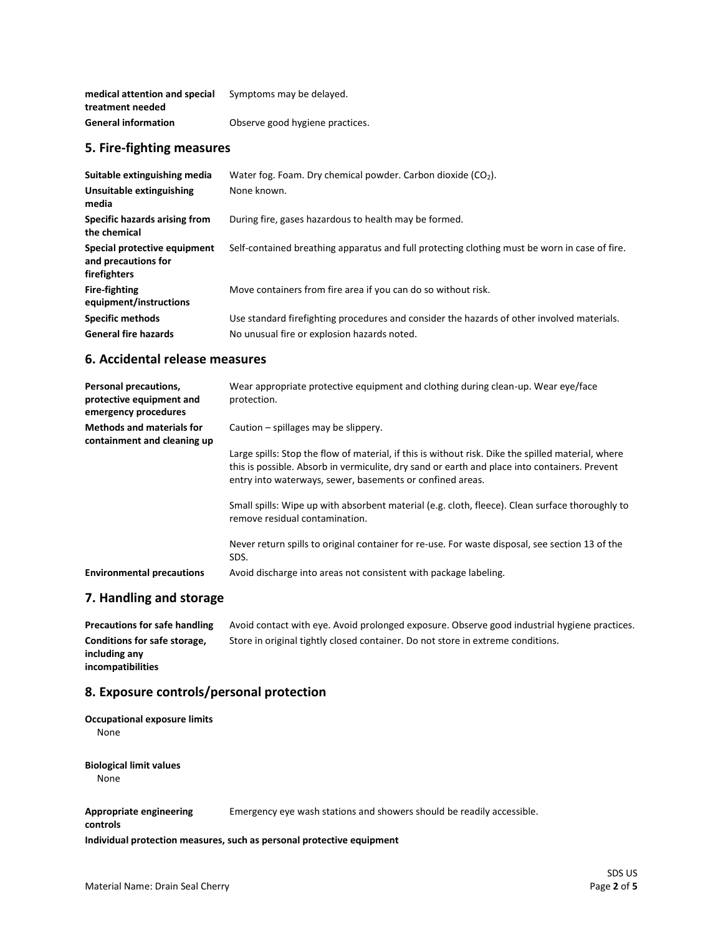| medical attention and special | Symptoms may be delayed.        |
|-------------------------------|---------------------------------|
| treatment needed              |                                 |
| <b>General information</b>    | Observe good hygiene practices. |

#### **5. Fire-fighting measures**

| Water fog. Foam. Dry chemical powder. Carbon dioxide (CO <sub>2</sub> ).                      |
|-----------------------------------------------------------------------------------------------|
| None known.                                                                                   |
| During fire, gases hazardous to health may be formed.                                         |
| Self-contained breathing apparatus and full protecting clothing must be worn in case of fire. |
| Move containers from fire area if you can do so without risk.                                 |
| Use standard firefighting procedures and consider the hazards of other involved materials.    |
| No unusual fire or explosion hazards noted.                                                   |
|                                                                                               |

#### **6. Accidental release measures**

| Personal precautions,<br>protective equipment and<br>emergency procedures | Wear appropriate protective equipment and clothing during clean-up. Wear eye/face<br>protection.                                                                                                                                                                 |
|---------------------------------------------------------------------------|------------------------------------------------------------------------------------------------------------------------------------------------------------------------------------------------------------------------------------------------------------------|
| <b>Methods and materials for</b><br>containment and cleaning up           | Caution – spillages may be slippery.                                                                                                                                                                                                                             |
|                                                                           | Large spills: Stop the flow of material, if this is without risk. Dike the spilled material, where<br>this is possible. Absorb in vermiculite, dry sand or earth and place into containers. Prevent<br>entry into waterways, sewer, basements or confined areas. |
|                                                                           | Small spills: Wipe up with absorbent material (e.g. cloth, fleece). Clean surface thoroughly to<br>remove residual contamination.                                                                                                                                |
|                                                                           | Never return spills to original container for re-use. For waste disposal, see section 13 of the<br>SDS.                                                                                                                                                          |
| <b>Environmental precautions</b>                                          | Avoid discharge into areas not consistent with package labeling.                                                                                                                                                                                                 |

#### **7. Handling and storage**

Precautions for safe handling Avoid contact with eye. Avoid prolonged exposure. Observe good industrial hygiene practices. **Conditions for safe storage, including any incompatibilities** Store in original tightly closed container. Do not store in extreme conditions.

### **8. Exposure controls/personal protection**

| <b>Occupational exposure limits</b><br>None |                                                |
|---------------------------------------------|------------------------------------------------|
| <b>Biological limit values</b><br>None      |                                                |
| <b>Appropriate engineering</b><br>controls  | Emergency eye wash stations and showers should |

**Individual protection measures, such as personal protective equipment**

be readily accessible.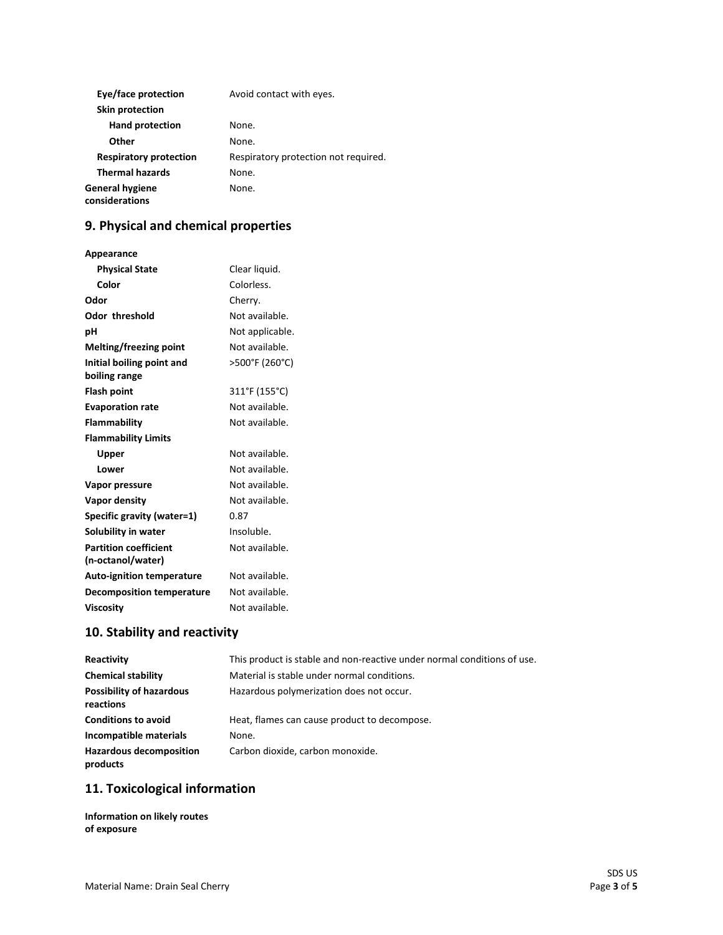| Eye/face protection               | Avoid contact with eyes.             |
|-----------------------------------|--------------------------------------|
| Skin protection                   |                                      |
| <b>Hand protection</b>            | None.                                |
| Other                             | None.                                |
| <b>Respiratory protection</b>     | Respiratory protection not required. |
| <b>Thermal hazards</b>            | None.                                |
| General hygiene<br>considerations | None.                                |

# **9. Physical and chemical properties**

| Appearance                       |                 |
|----------------------------------|-----------------|
| <b>Physical State</b>            | Clear liquid.   |
| Color                            | Colorless.      |
| Odor                             | Cherry.         |
| <b>Odor threshold</b>            | Not available.  |
| рH                               | Not applicable. |
| Melting/freezing point           | Not available.  |
| Initial boiling point and        | >500°F (260°C)  |
| boiling range                    |                 |
| <b>Flash point</b>               | 311°F (155°C)   |
| <b>Evaporation rate</b>          | Not available.  |
| <b>Flammability</b>              | Not available.  |
| <b>Flammability Limits</b>       |                 |
| Upper                            | Not available.  |
| Lower                            | Not available.  |
| Vapor pressure                   | Not available.  |
| Vapor density                    | Not available.  |
| Specific gravity (water=1)       | 0.87            |
| Solubility in water              | Insoluble.      |
| <b>Partition coefficient</b>     | Not available.  |
| (n-octanol/water)                |                 |
| <b>Auto-ignition temperature</b> | Not available.  |
| <b>Decomposition temperature</b> | Not available.  |
| <b>Viscosity</b>                 | Not available.  |

# **10. Stability and reactivity**

| Reactivity                                   | This product is stable and non-reactive under normal conditions of use. |
|----------------------------------------------|-------------------------------------------------------------------------|
| <b>Chemical stability</b>                    | Material is stable under normal conditions.                             |
| <b>Possibility of hazardous</b><br>reactions | Hazardous polymerization does not occur.                                |
| <b>Conditions to avoid</b>                   | Heat, flames can cause product to decompose.                            |
| Incompatible materials                       | None.                                                                   |
| <b>Hazardous decomposition</b><br>products   | Carbon dioxide, carbon monoxide.                                        |

# **11. Toxicological information**

**Information on likely routes of exposure**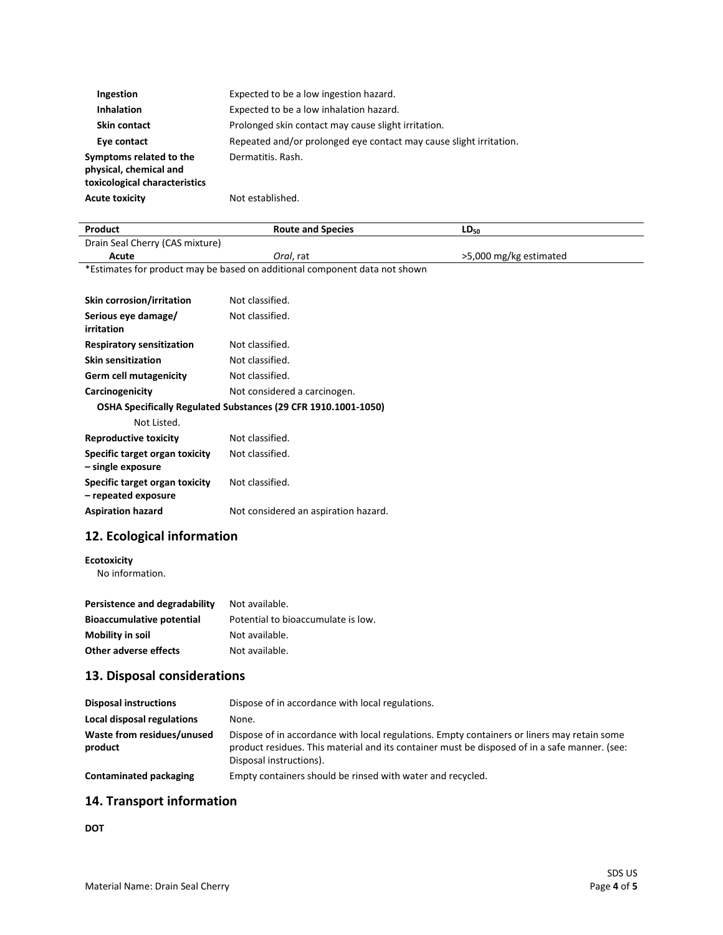| Ingestion                                                                          | Expected to be a low ingestion hazard.                             |
|------------------------------------------------------------------------------------|--------------------------------------------------------------------|
| <b>Inhalation</b>                                                                  | Expected to be a low inhalation hazard.                            |
| <b>Skin contact</b>                                                                | Prolonged skin contact may cause slight irritation.                |
| Eye contact                                                                        | Repeated and/or prolonged eye contact may cause slight irritation. |
| Symptoms related to the<br>physical, chemical and<br>toxicological characteristics | Dermatitis. Rash.                                                  |
| <b>Acute toxicity</b>                                                              | Not established.                                                   |

| Product                                               | <b>Route and Species</b>                                                   | $LD_{50}$              |
|-------------------------------------------------------|----------------------------------------------------------------------------|------------------------|
| Drain Seal Cherry (CAS mixture)                       |                                                                            |                        |
| Acute                                                 | Oral, rat                                                                  | >5,000 mg/kg estimated |
|                                                       | *Estimates for product may be based on additional component data not shown |                        |
| Skin corrosion/irritation                             | Not classified.                                                            |                        |
| Serious eye damage/<br>irritation                     | Not classified.                                                            |                        |
| <b>Respiratory sensitization</b>                      | Not classified.                                                            |                        |
| <b>Skin sensitization</b>                             | Not classified.                                                            |                        |
| <b>Germ cell mutagenicity</b>                         | Not classified.                                                            |                        |
| Carcinogenicity                                       | Not considered a carcinogen.                                               |                        |
|                                                       | OSHA Specifically Regulated Substances (29 CFR 1910.1001-1050)             |                        |
| Not Listed.                                           |                                                                            |                        |
| <b>Reproductive toxicity</b>                          | Not classified.                                                            |                        |
| Specific target organ toxicity<br>- single exposure   | Not classified.                                                            |                        |
| Specific target organ toxicity<br>- repeated exposure | Not classified.                                                            |                        |
| <b>Aspiration hazard</b>                              | Not considered an aspiration hazard.                                       |                        |

# **12. Ecological information**

**Ecotoxicity**

No information.

| Persistence and degradability    | Not available.                     |
|----------------------------------|------------------------------------|
| <b>Bioaccumulative potential</b> | Potential to bioaccumulate is low. |
| Mobility in soil                 | Not available.                     |
| Other adverse effects            | Not available.                     |

### **13. Disposal considerations**

| <b>Disposal instructions</b>          | Dispose of in accordance with local regulations.                                                                                                                                                                        |
|---------------------------------------|-------------------------------------------------------------------------------------------------------------------------------------------------------------------------------------------------------------------------|
| Local disposal regulations            | None.                                                                                                                                                                                                                   |
| Waste from residues/unused<br>product | Dispose of in accordance with local regulations. Empty containers or liners may retain some<br>product residues. This material and its container must be disposed of in a safe manner. (see:<br>Disposal instructions). |
| Contaminated packaging                | Empty containers should be rinsed with water and recycled.                                                                                                                                                              |

# **14. Transport information**

**DOT**